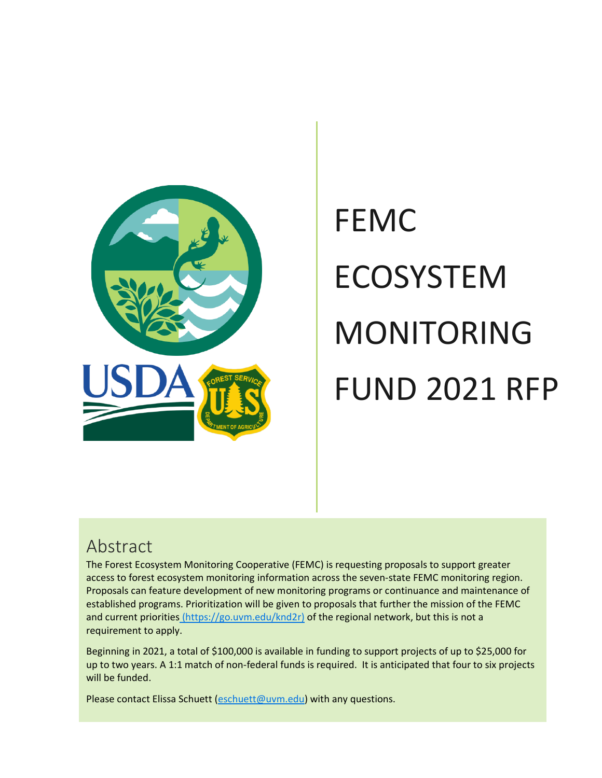

# FEMC ECOSYSTEM MONITORING FUND 2021 RFP

## Abstract

The Forest Ecosystem Monitoring Cooperative (FEMC) is requesting proposals to support greater access to forest ecosystem monitoring information across the seven-state FEMC monitoring region. Proposals can feature development of new monitoring programs or continuance and maintenance of established programs. Prioritization will be given to proposals that further the mission of the FEMC and current priorities (https://go.uvm.edu/knd2r) of the regional network, but this is not a requirement to apply.

Beginning in 2021, a total of \$100,000 is available in funding to support projects of up to \$25,000 for up to two years. A 1:1 match of non-federal funds is required. It is anticipated that four to six projects will be funded.

Please contact Elissa Schuett [\(eschuett@uvm.edu\)](mailto:eschuett@uvm.edu) with any questions.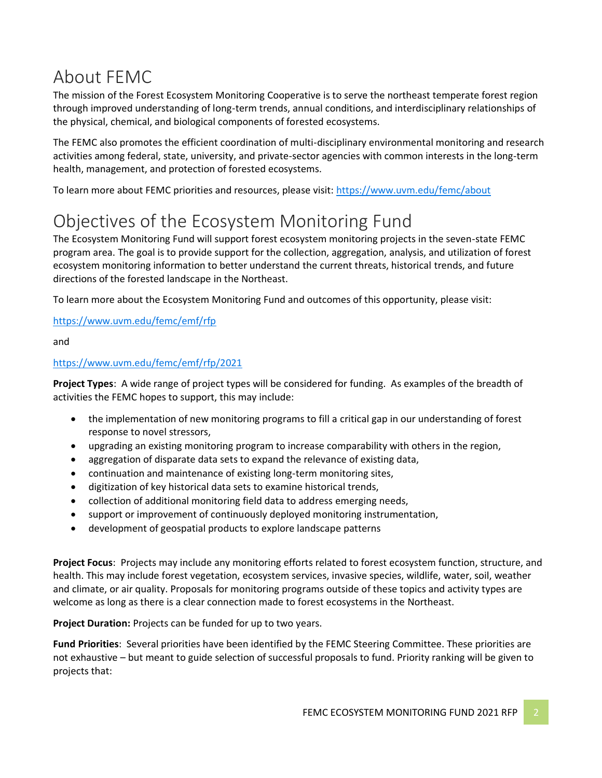## About FEMC

The mission of the Forest Ecosystem Monitoring Cooperative is to serve the northeast temperate forest region through improved understanding of long-term trends, annual conditions, and interdisciplinary relationships of the physical, chemical, and biological components of forested ecosystems.

The FEMC also promotes the efficient coordination of multi-disciplinary environmental monitoring and research activities among federal, state, university, and private-sector agencies with common interests in the long-term health, management, and protection of forested ecosystems.

To learn more about FEMC priorities and resources, please visit:<https://www.uvm.edu/femc/about>

# Objectives of the Ecosystem Monitoring Fund

The Ecosystem Monitoring Fund will support forest ecosystem monitoring projects in the seven-state FEMC program area. The goal is to provide support for the collection, aggregation, analysis, and utilization of forest ecosystem monitoring information to better understand the current threats, historical trends, and future directions of the forested landscape in the Northeast.

To learn more about the Ecosystem Monitoring Fund and outcomes of this opportunity, please visit:

<https://www.uvm.edu/femc/emf/rfp>

and

#### <https://www.uvm.edu/femc/emf/rfp/2021>

**Project Types**: A wide range of project types will be considered for funding. As examples of the breadth of activities the FEMC hopes to support, this may include:

- the implementation of new monitoring programs to fill a critical gap in our understanding of forest response to novel stressors,
- upgrading an existing monitoring program to increase comparability with others in the region,
- aggregation of disparate data sets to expand the relevance of existing data,
- continuation and maintenance of existing long-term monitoring sites,
- digitization of key historical data sets to examine historical trends,
- collection of additional monitoring field data to address emerging needs,
- support or improvement of continuously deployed monitoring instrumentation,
- development of geospatial products to explore landscape patterns

**Project Focus**: Projects may include any monitoring efforts related to forest ecosystem function, structure, and health. This may include forest vegetation, ecosystem services, invasive species, wildlife, water, soil, weather and climate, or air quality. Proposals for monitoring programs outside of these topics and activity types are welcome as long as there is a clear connection made to forest ecosystems in the Northeast.

**Project Duration:** Projects can be funded for up to two years.

**Fund Priorities**: Several priorities have been identified by the FEMC Steering Committee. These priorities are not exhaustive – but meant to guide selection of successful proposals to fund. Priority ranking will be given to projects that: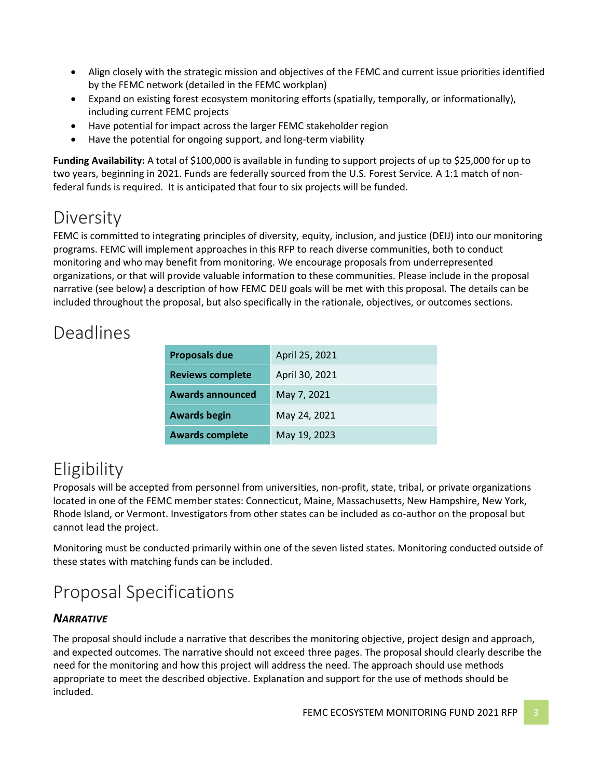- Align closely with the strategic mission and objectives of the FEMC and current issue priorities identified by the FEMC network (detailed in the FEMC workplan)
- Expand on existing forest ecosystem monitoring efforts (spatially, temporally, or informationally), including current FEMC projects
- Have potential for impact across the larger FEMC stakeholder region
- Have the potential for ongoing support, and long-term viability

**Funding Availability:** A total of \$100,000 is available in funding to support projects of up to \$25,000 for up to two years, beginning in 2021. Funds are federally sourced from the U.S. Forest Service. A 1:1 match of nonfederal funds is required. It is anticipated that four to six projects will be funded.

# **Diversity**

FEMC is committed to integrating principles of diversity, equity, inclusion, and justice (DEIJ) into our monitoring programs. FEMC will implement approaches in this RFP to reach diverse communities, both to conduct monitoring and who may benefit from monitoring. We encourage proposals from underrepresented organizations, or that will provide valuable information to these communities. Please include in the proposal narrative (see below) a description of how FEMC DEIJ goals will be met with this proposal. The details can be included throughout the proposal, but also specifically in the rationale, objectives, or outcomes sections.

# Deadlines

| <b>Proposals due</b>    | April 25, 2021 |  |
|-------------------------|----------------|--|
| <b>Reviews complete</b> | April 30, 2021 |  |
| <b>Awards announced</b> | May 7, 2021    |  |
| <b>Awards begin</b>     | May 24, 2021   |  |
| <b>Awards complete</b>  | May 19, 2023   |  |

# Eligibility

Proposals will be accepted from personnel from universities, non-profit, state, tribal, or private organizations located in one of the FEMC member states: Connecticut, Maine, Massachusetts, New Hampshire, New York, Rhode Island, or Vermont. Investigators from other states can be included as co-author on the proposal but cannot lead the project.

Monitoring must be conducted primarily within one of the seven listed states. Monitoring conducted outside of these states with matching funds can be included.

# Proposal Specifications

## *NARRATIVE*

The proposal should include a narrative that describes the monitoring objective, project design and approach, and expected outcomes. The narrative should not exceed three pages. The proposal should clearly describe the need for the monitoring and how this project will address the need. The approach should use methods appropriate to meet the described objective. Explanation and support for the use of methods should be included.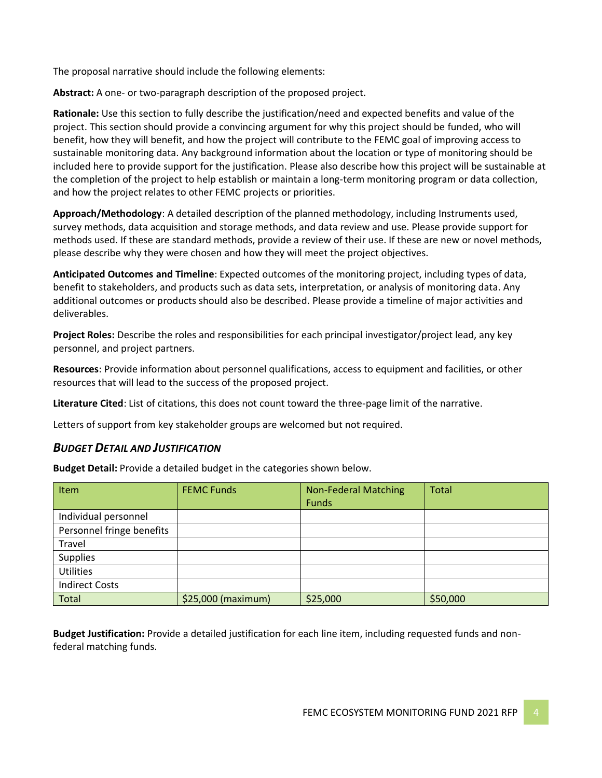The proposal narrative should include the following elements:

**Abstract:** A one- or two-paragraph description of the proposed project.

**Rationale:** Use this section to fully describe the justification/need and expected benefits and value of the project. This section should provide a convincing argument for why this project should be funded, who will benefit, how they will benefit, and how the project will contribute to the FEMC goal of improving access to sustainable monitoring data. Any background information about the location or type of monitoring should be included here to provide support for the justification. Please also describe how this project will be sustainable at the completion of the project to help establish or maintain a long-term monitoring program or data collection, and how the project relates to other FEMC projects or priorities.

**Approach/Methodology**: A detailed description of the planned methodology, including Instruments used, survey methods, data acquisition and storage methods, and data review and use. Please provide support for methods used. If these are standard methods, provide a review of their use. If these are new or novel methods, please describe why they were chosen and how they will meet the project objectives.

**Anticipated Outcomes and Timeline**: Expected outcomes of the monitoring project, including types of data, benefit to stakeholders, and products such as data sets, interpretation, or analysis of monitoring data. Any additional outcomes or products should also be described. Please provide a timeline of major activities and deliverables.

**Project Roles:** Describe the roles and responsibilities for each principal investigator/project lead, any key personnel, and project partners.

**Resources**: Provide information about personnel qualifications, access to equipment and facilities, or other resources that will lead to the success of the proposed project.

**Literature Cited**: List of citations, this does not count toward the three-page limit of the narrative.

Letters of support from key stakeholder groups are welcomed but not required.

## *BUDGET DETAIL AND JUSTIFICATION*

**Budget Detail:** Provide a detailed budget in the categories shown below.

| Item                      | <b>FEMC Funds</b>  | <b>Non-Federal Matching</b> | Total    |
|---------------------------|--------------------|-----------------------------|----------|
|                           |                    | <b>Funds</b>                |          |
| Individual personnel      |                    |                             |          |
| Personnel fringe benefits |                    |                             |          |
| Travel                    |                    |                             |          |
| <b>Supplies</b>           |                    |                             |          |
| <b>Utilities</b>          |                    |                             |          |
| <b>Indirect Costs</b>     |                    |                             |          |
| <b>Total</b>              | \$25,000 (maximum) | \$25,000                    | \$50,000 |

**Budget Justification:** Provide a detailed justification for each line item, including requested funds and nonfederal matching funds.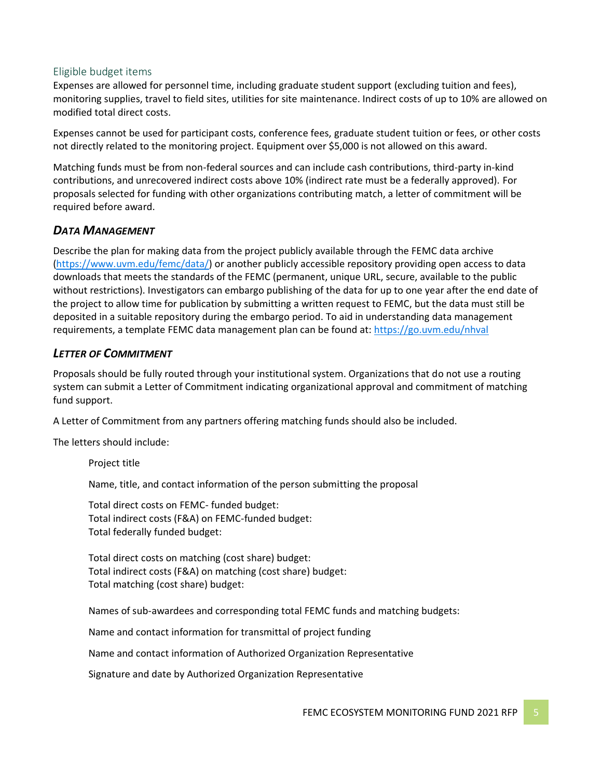#### Eligible budget items

Expenses are allowed for personnel time, including graduate student support (excluding tuition and fees), monitoring supplies, travel to field sites, utilities for site maintenance. Indirect costs of up to 10% are allowed on modified total direct costs.

Expenses cannot be used for participant costs, conference fees, graduate student tuition or fees, or other costs not directly related to the monitoring project. Equipment over \$5,000 is not allowed on this award.

Matching funds must be from non-federal sources and can include cash contributions, third-party in-kind contributions, and unrecovered indirect costs above 10% (indirect rate must be a federally approved). For proposals selected for funding with other organizations contributing match, a letter of commitment will be required before award.

## *DATA MANAGEMENT*

Describe the plan for making data from the project publicly available through the FEMC data archive [\(https://www.uvm.edu/femc/data/\)](https://www.uvm.edu/femc/data/) or another publicly accessible repository providing open access to data downloads that meets the standards of the FEMC (permanent, unique URL, secure, available to the public without restrictions). Investigators can embargo publishing of the data for up to one year after the end date of the project to allow time for publication by submitting a written request to FEMC, but the data must still be deposited in a suitable repository during the embargo period. To aid in understanding data management requirements, a template FEMC data management plan can be found at[: https://go.uvm.edu/nhval](https://go.uvm.edu/nhval)

## *LETTER OF COMMITMENT*

Proposals should be fully routed through your institutional system. Organizations that do not use a routing system can submit a Letter of Commitment indicating organizational approval and commitment of matching fund support.

A Letter of Commitment from any partners offering matching funds should also be included.

The letters should include:

Project title

Name, title, and contact information of the person submitting the proposal

Total direct costs on FEMC- funded budget: Total indirect costs (F&A) on FEMC-funded budget: Total federally funded budget:

Total direct costs on matching (cost share) budget: Total indirect costs (F&A) on matching (cost share) budget: Total matching (cost share) budget:

Names of sub-awardees and corresponding total FEMC funds and matching budgets:

Name and contact information for transmittal of project funding

Name and contact information of Authorized Organization Representative

Signature and date by Authorized Organization Representative